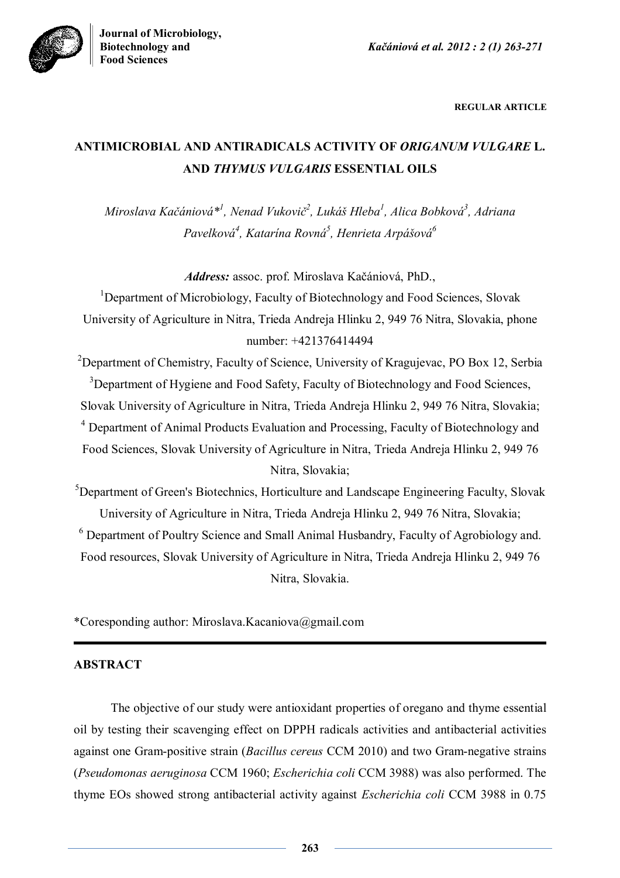**Biotechnology and** *Kačániová et al. 2012 : 2 (1) 263-271*



**REGULAR ARTICLE**

# **ANTIMICROBIAL AND ANTIRADICALS ACTIVITY OF** *ORIGANUM VULGARE* **L. AND** *THYMUS VULGARIS* **ESSENTIAL OILS**

*Miroslava Kačániová\* 1 , Nenad Vukovič<sup>2</sup> , Lukáš Hleba<sup>1</sup> , Alica Bobková<sup>3</sup> , Adriana Pavelková<sup>4</sup> , Katarína Rovná<sup>5</sup> , Henrieta Arpášová<sup>6</sup>*

*Address:* assoc. prof. Miroslava Kačániová, PhD.,

<sup>1</sup>Department of Microbiology, Faculty of Biotechnology and Food Sciences, Slovak University of Agriculture in Nitra, Trieda Andreja Hlinku 2, 949 76 Nitra, Slovakia, phone number: +421376414494

<sup>2</sup>Department of Chemistry, Faculty of Science, University of Kragujevac, PO Box 12, Serbia <sup>3</sup>Department of Hygiene and Food Safety, Faculty of Biotechnology and Food Sciences, Slovak University of Agriculture in Nitra, Trieda Andreja Hlinku 2, 949 76 Nitra, Slovakia; <sup>4</sup> Department of Animal Products Evaluation and Processing, Faculty of Biotechnology and Food Sciences, Slovak University of Agriculture in Nitra, Trieda Andreja Hlinku 2, 949 76 Nitra, Slovakia;

 ${}^{5}$ Department of Green's Biotechnics, Horticulture and Landscape Engineering Faculty, Slovak University of Agriculture in Nitra, Trieda Andreja Hlinku 2, 949 76 Nitra, Slovakia; <sup>6</sup> Department of Poultry Science and Small Animal Husbandry, Faculty of Agrobiology and. Food resources, Slovak University of Agriculture in Nitra, Trieda Andreja Hlinku 2, 949 76 Nitra, Slovakia.

\*Coresponding author: Miroslava.Kacaniova@gmail.com

# **ABSTRACT**

The objective of our study were antioxidant properties of oregano and thyme essential oil by testing their scavenging effect on DPPH radicals activities and antibacterial activities against one Gram-positive strain (*Bacillus cereus* CCM 2010) and two Gram-negative strains (*Pseudomonas aeruginosa* CCM 1960; *Escherichia coli* CCM 3988) was also performed. The thyme EOs showed strong antibacterial activity against *Escherichia coli* CCM 3988 in 0.75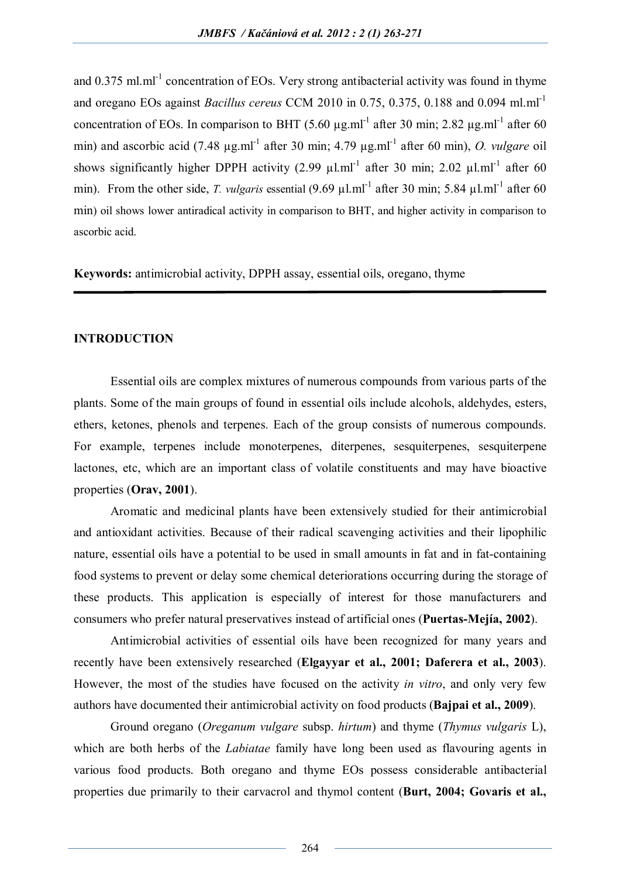and  $0.375$  ml.ml<sup>-1</sup> concentration of EOs. Very strong antibacterial activity was found in thyme and oregano EOs against *Bacillus cereus* CCM 2010 in 0.75, 0.375, 0.188 and 0.094 ml.ml-1 concentration of EOs. In comparison to BHT  $(5.60 \text{ µg.ml}^{-1}$  after 30 min; 2.82  $\text{µg.ml}^{-1}$  after 60 min) and ascorbic acid (7.48 µg.ml<sup>-1</sup> after 30 min; 4.79 µg.ml<sup>-1</sup> after 60 min), *O. vulgare* oil shows significantly higher DPPH activity (2.99  $\mu$ l.ml<sup>-1</sup> after 30 min; 2.02  $\mu$ l.ml<sup>-1</sup> after 60 min). From the other side, *T. vulgaris* essential  $(9.69 \mu Lm<sup>1</sup>$  after 30 min; 5.84  $\mu Lm<sup>1</sup>$  after 60 min) oil shows lower antiradical activity in comparison to BHT, and higher activity in comparison to ascorbic acid.

**Keywords:** antimicrobial activity, DPPH assay, essential oils, oregano, thyme

# **INTRODUCTION**

Essential oils are complex mixtures of numerous compounds from various parts of the plants. Some of the main groups of found in essential oils include alcohols, aldehydes, esters, ethers, ketones, phenols and terpenes. Each of the group consists of numerous compounds. For example, terpenes include monoterpenes, diterpenes, sesquiterpenes, sesquiterpene lactones, etc, which are an important class of volatile constituents and may have bioactive properties (**Orav, 2001**).

Aromatic and medicinal plants have been extensively studied for their antimicrobial and antioxidant activities. Because of their radical scavenging activities and their lipophilic nature, essential oils have a potential to be used in small amounts in fat and in fat-containing food systems to prevent or delay some chemical deteriorations occurring during the storage of these products. This application is especially of interest for those manufacturers and consumers who prefer natural preservatives instead of artificial ones (**Puertas-Mejía, 2002**).

Antimicrobial activities of essential oils have been recognized for many years and recently have been extensively researched (**Elgayyar et al., 2001; Daferera et al., 2003**). However, the most of the studies have focused on the activity *in vitro*, and only very few authors have documented their antimicrobial activity on food products (**Bajpai et al., 2009**).

Ground oregano (*Oreganum vulgare* subsp. *hirtum*) and thyme (*Thymus vulgaris* L), which are both herbs of the *Labiatae* family have long been used as flavouring agents in various food products. Both oregano and thyme EOs possess considerable antibacterial properties due primarily to their carvacrol and thymol content (**Burt, 2004; Govaris et al.,**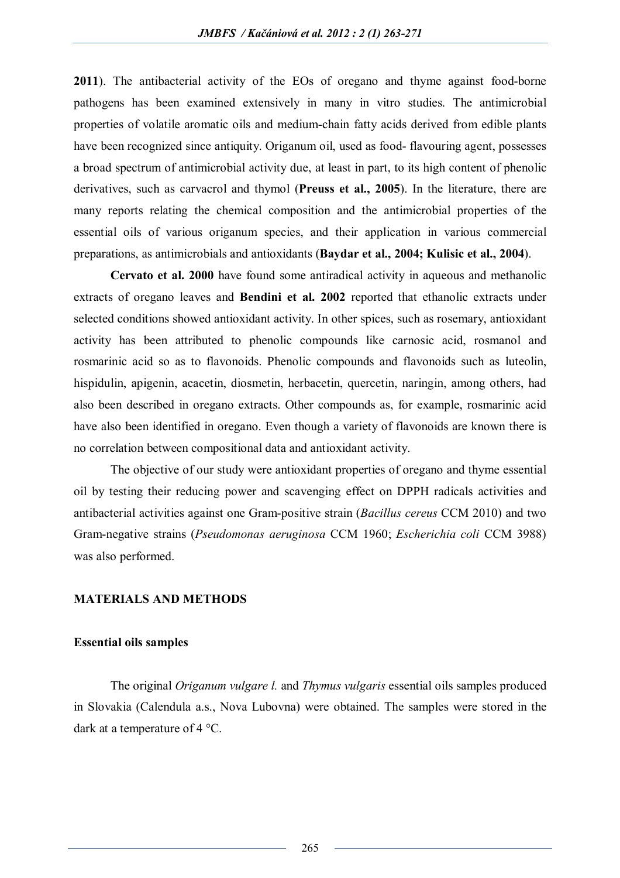**2011**). The antibacterial activity of the EOs of oregano and thyme against food-borne pathogens has been examined extensively in many in vitro studies. The antimicrobial properties of volatile aromatic oils and medium-chain fatty acids derived from edible plants have been recognized since antiquity. Origanum oil, used as food- flavouring agent, possesses a broad spectrum of antimicrobial activity due, at least in part, to its high content of phenolic derivatives, such as carvacrol and thymol (**Preuss et al., 2005**). In the literature, there are many reports relating the chemical composition and the antimicrobial properties of the essential oils of various origanum species, and their application in various commercial preparations, as antimicrobials and antioxidants (**Baydar et al., 2004; Kulisic et al., 2004**).

**Cervato et al. 2000** have found some antiradical activity in aqueous and methanolic extracts of oregano leaves and **Bendini et al. 2002** reported that ethanolic extracts under selected conditions showed antioxidant activity. In other spices, such as rosemary, antioxidant activity has been attributed to phenolic compounds like carnosic acid, rosmanol and rosmarinic acid so as to flavonoids. Phenolic compounds and flavonoids such as luteolin, hispidulin, apigenin, acacetin, diosmetin, herbacetin, quercetin, naringin, among others, had also been described in oregano extracts. Other compounds as, for example, rosmarinic acid have also been identified in oregano. Even though a variety of flavonoids are known there is no correlation between compositional data and antioxidant activity.

The objective of our study were antioxidant properties of oregano and thyme essential oil by testing their reducing power and scavenging effect on DPPH radicals activities and antibacterial activities against one Gram-positive strain (*Bacillus cereus* CCM 2010) and two Gram-negative strains (*Pseudomonas aeruginosa* CCM 1960; *Escherichia coli* CCM 3988) was also performed.

# **MATERIALS AND METHODS**

#### **Essential oils samples**

The original *Origanum vulgare l.* and *Thymus vulgaris* essential oils samples produced in Slovakia (Calendula a.s., Nova Lubovna) were obtained. The samples were stored in the dark at a temperature of 4 °C.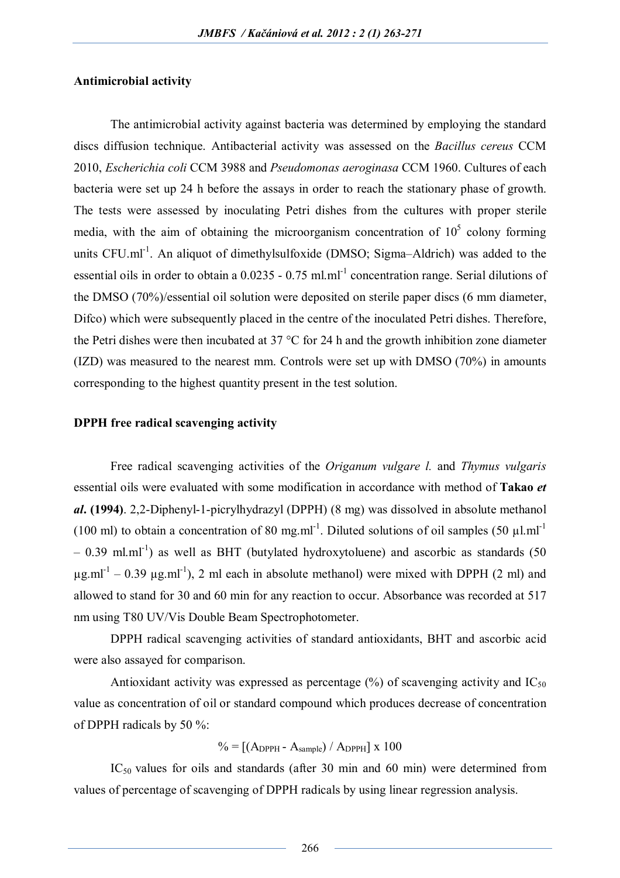### **Antimicrobial activity**

The antimicrobial activity against bacteria was determined by employing the standard discs diffusion technique. Antibacterial activity was assessed on the *Bacillus cereus* CCM 2010, *Escherichia coli* CCM 3988 and *Pseudomonas aeroginasa* CCM 1960. Cultures of each bacteria were set up 24 h before the assays in order to reach the stationary phase of growth. The tests were assessed by inoculating Petri dishes from the cultures with proper sterile media, with the aim of obtaining the microorganism concentration of  $10<sup>5</sup>$  colony forming units CFU.ml<sup>-1</sup>. An aliquot of dimethylsulfoxide (DMSO; Sigma-Aldrich) was added to the essential oils in order to obtain a  $0.0235 - 0.75$  ml.ml<sup>-1</sup> concentration range. Serial dilutions of the DMSO (70%)/essential oil solution were deposited on sterile paper discs (6 mm diameter, Difco) which were subsequently placed in the centre of the inoculated Petri dishes. Therefore, the Petri dishes were then incubated at 37 °C for 24 h and the growth inhibition zone diameter (IZD) was measured to the nearest mm. Controls were set up with DMSO (70%) in amounts corresponding to the highest quantity present in the test solution.

#### **DPPH free radical scavenging activity**

Free radical scavenging activities of the *Origanum vulgare l.* and *Thymus vulgaris* essential oils were evaluated with some modification in accordance with method of **Takao** *et al***. (1994)**. 2,2-Diphenyl-1-picrylhydrazyl (DPPH) (8 mg) was dissolved in absolute methanol (100 ml) to obtain a concentration of 80 mg.ml<sup>-1</sup>. Diluted solutions of oil samples (50  $\mu$ l.ml<sup>-1</sup>  $-$  0.39 ml.ml<sup>-1</sup>) as well as BHT (butylated hydroxytoluene) and ascorbic as standards (50  $\mu$ g.ml<sup>-1</sup> – 0.39  $\mu$ g.ml<sup>-1</sup>), 2 ml each in absolute methanol) were mixed with DPPH (2 ml) and allowed to stand for 30 and 60 min for any reaction to occur. Absorbance was recorded at 517 nm using T80 UV/Vis Double Beam Spectrophotometer.

 DPPH radical scavenging activities of standard antioxidants, BHT and ascorbic acid were also assayed for comparison.

Antioxidant activity was expressed as percentage  $(\%)$  of scavenging activity and IC<sub>50</sub> value as concentration of oil or standard compound which produces decrease of concentration of DPPH radicals by 50 %:

# $\% = \left[ \left( A_{\text{DPPH}} - A_{\text{sample}} \right) / A_{\text{DPPH}} \right] \times 100$

IC50 values for oils and standards (after 30 min and 60 min) were determined from values of percentage of scavenging of DPPH radicals by using linear regression analysis.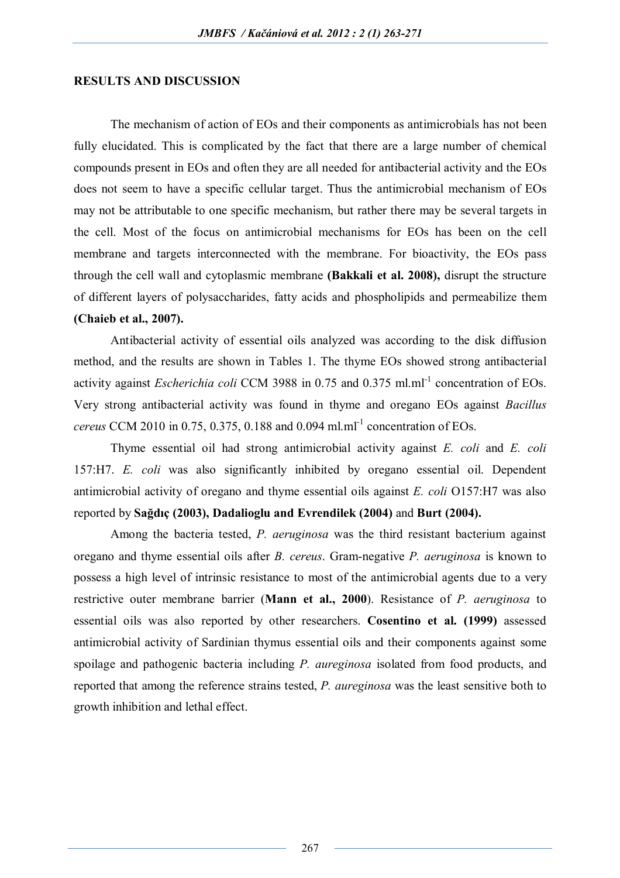#### **RESULTS AND DISCUSSION**

The mechanism of action of EOs and their components as antimicrobials has not been fully elucidated. This is complicated by the fact that there are a large number of chemical compounds present in EOs and often they are all needed for antibacterial activity and the EOs does not seem to have a specific cellular target. Thus the antimicrobial mechanism of EOs may not be attributable to one specific mechanism, but rather there may be several targets in the cell. Most of the focus on antimicrobial mechanisms for EOs has been on the cell membrane and targets interconnected with the membrane. For bioactivity, the EOs pass through the cell wall and cytoplasmic membrane **(Bakkali et al. 2008),** disrupt the structure of different layers of polysaccharides, fatty acids and phospholipids and permeabilize them **(Chaieb et al., 2007).**

Antibacterial activity of essential oils analyzed was according to the disk diffusion method, and the results are shown in Tables 1. The thyme EOs showed strong antibacterial activity against *Escherichia coli* CCM 3988 in 0.75 and 0.375 ml.ml<sup>-1</sup> concentration of EOs. Very strong antibacterial activity was found in thyme and oregano EOs against *Bacillus cereus* CCM 2010 in 0.75, 0.375, 0.188 and 0.094 ml.ml-1 concentration of EOs.

Thyme essential oil had strong antimicrobial activity against *E. coli* and *E. coli* 157:H7. *E. coli* was also significantly inhibited by oregano essential oil. Dependent antimicrobial activity of oregano and thyme essential oils against *E. coli* O157:H7 was also reported by **Sağdıç (2003), Dadalioglu and Evrendilek (2004)** and **Burt (2004).** 

Among the bacteria tested, *P. aeruginosa* was the third resistant bacterium against oregano and thyme essential oils after *B. cereus*. Gram-negative *P. aeruginosa* is known to possess a high level of intrinsic resistance to most of the antimicrobial agents due to a very restrictive outer membrane barrier (**Mann et al., 2000**). Resistance of *P. aeruginosa* to essential oils was also reported by other researchers. **Cosentino et al. (1999)** assessed antimicrobial activity of Sardinian thymus essential oils and their components against some spoilage and pathogenic bacteria including *P. aureginosa* isolated from food products, and reported that among the reference strains tested, *P. aureginosa* was the least sensitive both to growth inhibition and lethal effect.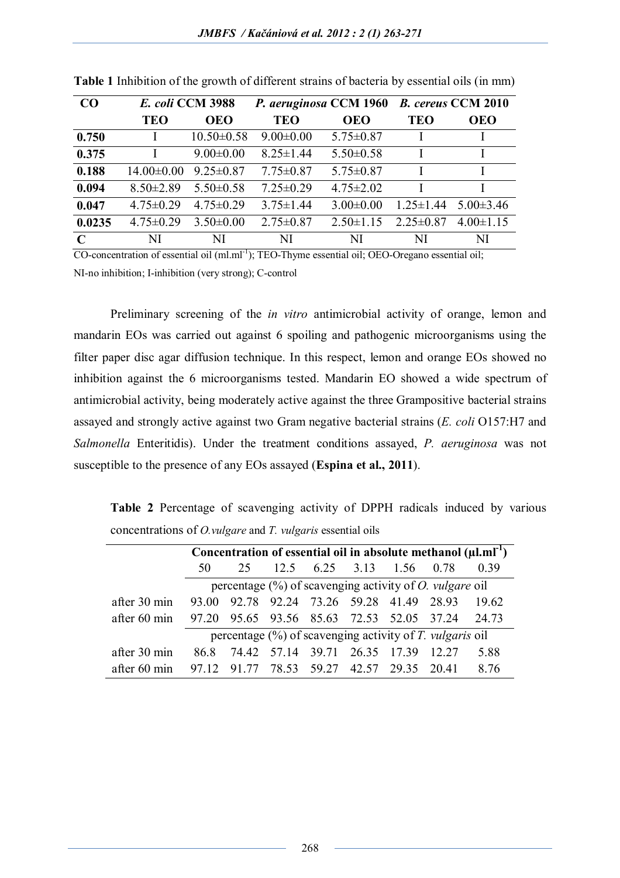| CO          | E. coli CCM 3988 |                  | P. aeruginosa CCM 1960 |                 | <b>B.</b> cereus CCM 2010 |                 |
|-------------|------------------|------------------|------------------------|-----------------|---------------------------|-----------------|
|             | <b>TEO</b>       | <b>OEO</b>       | <b>TEO</b>             | <b>OEO</b>      | <b>TEO</b>                | <b>OEO</b>      |
| 0.750       |                  | $10.50 \pm 0.58$ | $9.00 \pm 0.00$        | $5.75 \pm 0.87$ |                           |                 |
| 0.375       |                  | $9.00 \pm 0.00$  | $8.25 \pm 1.44$        | $5.50 \pm 0.58$ |                           |                 |
| 0.188       | $14.00 \pm 0.00$ | $9.25 \pm 0.87$  | $7.75 \pm 0.87$        | $5.75 \pm 0.87$ |                           |                 |
| 0.094       | $8.50 \pm 2.89$  | $5.50 \pm 0.58$  | $7.25 \pm 0.29$        | $4.75 \pm 2.02$ |                           |                 |
| 0.047       | $4.75 \pm 0.29$  | $4.75 \pm 0.29$  | $3.75 \pm 1.44$        | $3.00\pm0.00$   | $1.25 \pm 1.44$           | $5.00 \pm 3.46$ |
| 0.0235      | $4.75 \pm 0.29$  | $3.50\pm0.00$    | $2.75 \pm 0.87$        | $2.50 \pm 1.15$ | $2.25 \pm 0.87$           | $4.00 \pm 1.15$ |
| $\mathbf C$ | NI               | NI               | NI                     | NI              | NI                        | NI              |

**Table 1** Inhibition of the growth of different strains of bacteria by essential oils (in mm)

CO-concentration of essential oil (ml.ml<sup>-1</sup>); TEO-Thyme essential oil; OEO-Oregano essential oil; NI-no inhibition; I-inhibition (very strong); C-control

Preliminary screening of the *in vitro* antimicrobial activity of orange, lemon and mandarin EOs was carried out against 6 spoiling and pathogenic microorganisms using the filter paper disc agar diffusion technique. In this respect, lemon and orange EOs showed no inhibition against the 6 microorganisms tested. Mandarin EO showed a wide spectrum of antimicrobial activity, being moderately active against the three Grampositive bacterial strains assayed and strongly active against two Gram negative bacterial strains (*E. coli* O157:H7 and *Salmonella* Enteritidis). Under the treatment conditions assayed, *P. aeruginosa* was not susceptible to the presence of any EOs assayed (**Espina et al., 2011**).

**Table 2** Percentage of scavenging activity of DPPH radicals induced by various concentrations of *O.vulgare* and *T. vulgaris* essential oils

|              |                                                             |             |      |                                     |      |      |       | Concentration of essential oil in absolute methanol $(\mu LmI^{-1})$ |
|--------------|-------------------------------------------------------------|-------------|------|-------------------------------------|------|------|-------|----------------------------------------------------------------------|
|              | 50                                                          | 25          | 12.5 | 6.25                                | 3.13 | 1.56 | 0.78  | 0.39                                                                 |
|              | percentage $(\%)$ of scavenging activity of O. vulgare oil  |             |      |                                     |      |      |       |                                                                      |
| after 30 min | 93.00                                                       | 92.78       |      | 92.24 73.26 59.28 41.49             |      |      | 28.93 | 19.62                                                                |
| after 60 min | 97.20                                                       |             |      | 95.65 93.56 85.63 72.53 52.05 37.24 |      |      |       | 24.73                                                                |
|              | percentage $(\%)$ of scavenging activity of T. vulgaris oil |             |      |                                     |      |      |       |                                                                      |
| after 30 min | 86.8                                                        | 74 42 57 14 |      | 39.71 26.35                         |      | 1739 | 12.27 | 5.88                                                                 |
| after 60 min | 97.12                                                       | 91.77       |      | 78.53 59.27 42.57 29.35 20.41       |      |      |       | 8.76                                                                 |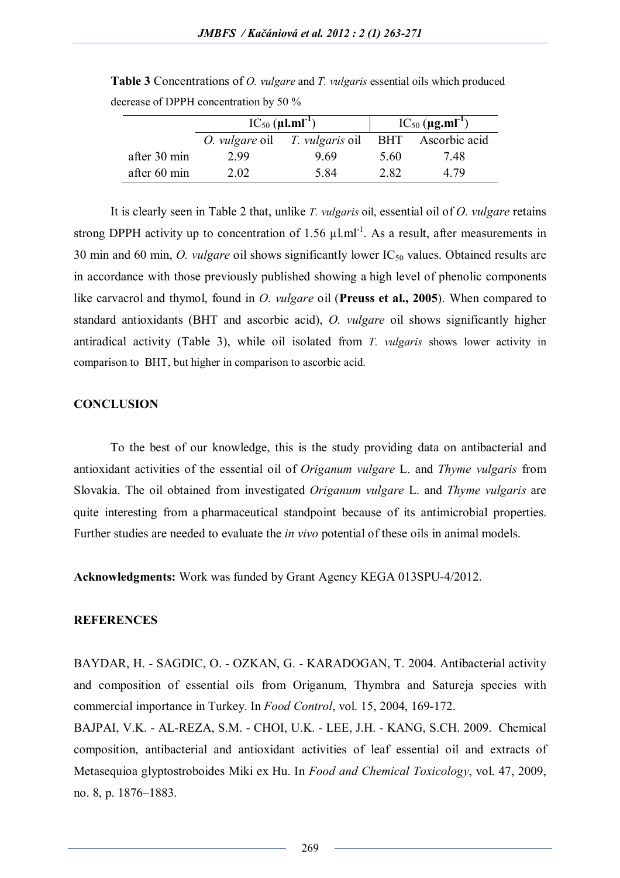|              |       | $IC_{50} (\mu LmI^{-1})$                         | $IC_{50} (\mu g.mI^{-1})$ |      |  |
|--------------|-------|--------------------------------------------------|---------------------------|------|--|
|              |       | O. vulgare oil T. vulgaris oil BHT Ascorbic acid |                           |      |  |
| after 30 min | 2.99  | 9.69                                             | 5.60                      | 7.48 |  |
| after 60 min | 2 0 2 | 5 84                                             | 282                       | 4 79 |  |

**Table 3** Concentrations of *O. vulgare* and *T. vulgaris* essential oils which produced decrease of DPPH concentration by 50 %

It is clearly seen in Table 2 that, unlike *T. vulgaris* oil, essential oil of *O. vulgare* retains strong DPPH activity up to concentration of 1.56  $\mu$ l.ml<sup>-1</sup>. As a result, after measurements in 30 min and 60 min, *O. vulgare* oil shows significantly lower IC<sub>50</sub> values. Obtained results are in accordance with those previously published showing a high level of phenolic components like carvacrol and thymol, found in *O. vulgare* oil (**Preuss et al., 2005**). When compared to standard antioxidants (BHT and ascorbic acid), *O. vulgare* oil shows significantly higher antiradical activity (Table 3), while oil isolated from *T. vulgaris* shows lower activity in comparison to BHT, but higher in comparison to ascorbic acid.

### **CONCLUSION**

To the best of our knowledge, this is the study providing data on antibacterial and antioxidant activities of the essential oil of *Origanum vulgare* L. and *Thyme vulgaris* from Slovakia. The oil obtained from investigated *Origanum vulgare* L. and *Thyme vulgaris* are quite interesting from a pharmaceutical standpoint because of its antimicrobial properties. Further studies are needed to evaluate the *in vivo* potential of these oils in animal models.

**Acknowledgments:** Work was funded by Grant Agency KEGA 013SPU-4/2012.

#### **REFERENCES**

BAYDAR, H. - SAGDIC, O. - OZKAN, G. - KARADOGAN, T. 2004. Antibacterial activity and composition of essential oils from Origanum, Thymbra and Satureja species with commercial importance in Turkey. In *Food Control*, vol. 15, 2004, 169-172.

BAJPAI, V.K. - AL-REZA, S.M. - CHOI, U.K. - LEE, J.H. - KANG, S.CH. 2009. Chemical composition, antibacterial and antioxidant activities of leaf essential oil and extracts of Metasequioa glyptostroboides Miki ex Hu. In *Food and Chemical Toxicology*, vol. 47, 2009, no. 8, p. 1876–1883.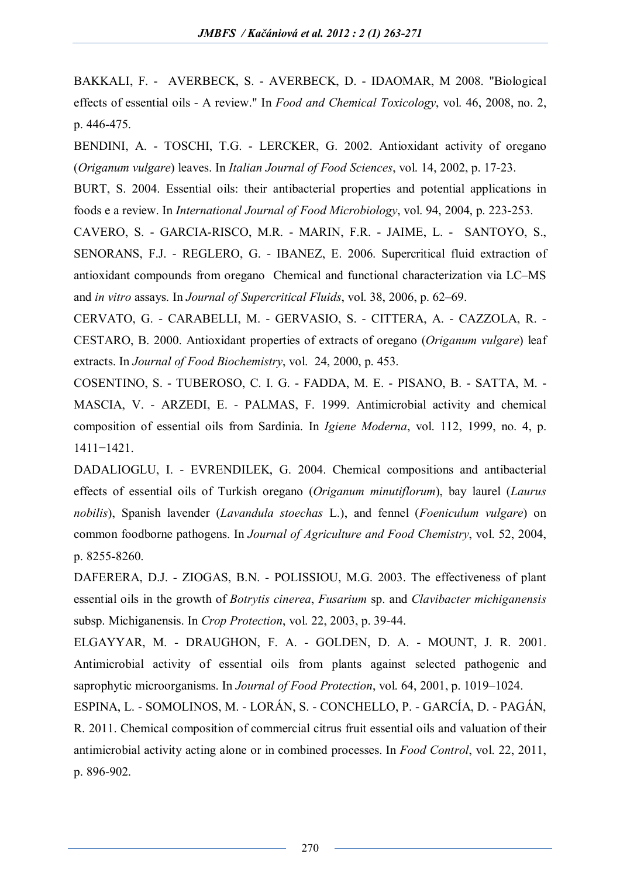BAKKALI, F. - AVERBECK, S. - AVERBECK, D. - IDAOMAR, M 2008. "Biological effects of essential oils - A review." In *Food and Chemical Toxicology*, vol. 46, 2008, no. 2, p. 446-475.

BENDINI, A. - TOSCHI, T.G. - LERCKER, G. 2002. Antioxidant activity of oregano (*Origanum vulgare*) leaves. In *Italian Journal of Food Sciences*, vol. 14, 2002, p. 17-23.

BURT, S. 2004. Essential oils: their antibacterial properties and potential applications in foods e a review. In *International Journal of Food Microbiology*, vol. 94, 2004, p. 223-253.

CAVERO, S. - GARCIA-RISCO, M.R. - MARIN, F.R. - JAIME, L. - SANTOYO, S., SENORANS, F.J. - REGLERO, G. - IBANEZ, E. 2006. Supercritical fluid extraction of antioxidant compounds from oregano Chemical and functional characterization via LC–MS and *in vitro* assays. In *Journal of Supercritical Fluids*, vol. 38, 2006, p. 62–69.

CERVATO, G. - CARABELLI, M. - GERVASIO, S. - CITTERA, A. - CAZZOLA, R. - CESTARO, B. 2000. Antioxidant properties of extracts of oregano (*Origanum vulgare*) leaf extracts. In *Journal of Food Biochemistry*, vol. 24, 2000, p. 453.

COSENTINO, S. - TUBEROSO, C. I. G. - FADDA, M. E. - PISANO, B. - SATTA, M. - MASCIA, V. - ARZEDI, E. - PALMAS, F. 1999. Antimicrobial activity and chemical composition of essential oils from Sardinia. In *Igiene Moderna*, vol. 112, 1999, no. 4, p. 1411−1421.

DADALIOGLU, I. - EVRENDILEK, G. 2004. Chemical compositions and antibacterial effects of essential oils of Turkish oregano (*Origanum minutiflorum*), bay laurel (*Laurus nobilis*), Spanish lavender (*Lavandula stoechas* L.), and fennel (*Foeniculum vulgare*) on common foodborne pathogens. In *Journal of Agriculture and Food Chemistry*, vol. 52, 2004, p. 8255-8260.

DAFERERA, D.J. - ZIOGAS, B.N. - POLISSIOU, M.G. 2003. The effectiveness of plant essential oils in the growth of *Botrytis cinerea*, *Fusarium* sp. and *Clavibacter michiganensis* subsp. Michiganensis. In *Crop Protection*, vol. 22, 2003, p. 39-44.

ELGAYYAR, M. - DRAUGHON, F. A. - GOLDEN, D. A. - MOUNT, J. R. 2001. Antimicrobial activity of essential oils from plants against selected pathogenic and saprophytic microorganisms. In *Journal of Food Protection*, vol. 64, 2001, p. 1019–1024.

ESPINA, L. - SOMOLINOS, M. - LORÁN, S. - CONCHELLO, P. - GARCÍA, D. - PAGÁN, R. 2011. Chemical composition of commercial citrus fruit essential oils and valuation of their antimicrobial activity acting alone or in combined processes. In *Food Control*, vol. 22, 2011, p. 896-902.